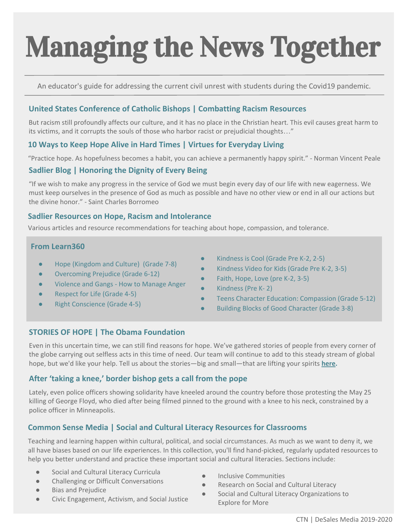# Managing the News Together

An educator's guide for addressing the current civil unrest with students during the Covid19 pandemic.

#### **[United States Conference of Catholic Bishops | Combatting Racism Resources](http://www.usccb.org/issues-and-action/human-life-and-dignity/racism/educational-resources-on-racism.cfm)**

But racism still profoundly affects our culture, and it has no place in the Christian heart. This evil causes great harm to its victims, and it corrupts the souls of those who harbor racist or prejudicial thoughts…"

#### **[10 Ways to Keep Hope Alive in Hard Times | Virtues for Everyday Living](https://www.virtuesforlife.com/10-ways-to-keep-hope-alive-in-hard-times/)**

"Practice hope. As hopefulness becomes a habit, you can achieve a permanently happy spirit." - Norman Vincent Peale

#### **Sadlier Blog | [Honoring the Dignity of Every Being](https://www.sadlier.com/religion/blog/honoring-the-dignity-of-every-human-being)**

"If we wish to make any progress in the service of God we must begin every day of our life with new eagerness. We must keep ourselves in the presence of God as much as possible and have no other view or end in all our actions but the divine honor." - Saint Charles Borromeo

#### **[Sadlier Resources on Hope, Racism and Intolerance](https://ctnbq.org/sadlier-resources/)**

Various articles and resource recommendations for teaching about hope, compassion, and tolerance.

#### **From Learn360**

- [Hope \(Kingdom and Culture\)](https://learn360.infobase.com/PortalPlaylists.aspx?wID=109389&customID=46654&loid=794) (Grade 7-8)
- Overcoming Prejudice (Grade 6-12)
- [Violence and Gangs How to Manage Anger](https://learn360.infobase.com/p_ViewVideo.aspx?customID=46646)
- [Respect for Life](https://learn360.infobase.com/p_ViewVideo.aspx?customID=46614) (Grade 4-5)
- [Right Conscience](https://learn360.infobase.com/p_ViewVideo.aspx?customID=46608) (Grade 4-5)
- [Kindness is Cool \(Grade Pre K-2, 2-5\)](https://learn360.infobase.com/p_ViewVideo.aspx?xtid=77951&loid=335193&tScript=0)
- [Kindness Video for Kids \(Grade Pre K-2, 3-5\)](https://learn360.infobase.com/p_ViewVideo.aspx?xtid=115337&tScript=0)
- [Faith, Hope, Love \(pre K-2, 3-5\)](https://learn360.infobase.com/p_ViewVideo.aspx?customID=46774&loid=954)
- [Kindness \(Pre K- 2\)](https://learn360.infobase.com/p_ViewVideo.aspx?xtid=194400&tScript=0)
- [Teens Character Education: Compassion \(Grade 5-12\)](https://learn360.infobase.com/p_ViewVideo.aspx?xtid=76713&tScript=0)
- [Building Blocks of Good Character \(Grade 3-8\)](https://learn360.infobase.com/p_ViewVideo.aspx?xtid=72034&tScript=0)

#### **[STORIES OF HOPE | The Obama Foundation](https://www.obama.org/stories-hope-coronavirus-response/)**

Even in this uncertain time, we can still find reasons for hope. We've gathered stories of people from every corner of the globe carrying out selfless acts in this time of need. Our team will continue to add to this steady stream of global hope, but we'd like your help. Tell us about the stories—big and small—that are lifting your spirits **[here.](https://obamacenter.typeform.com/to/XH7aQZ?_ga=2.146425652.1843575120.1591121974-143331214.1591121974)**

#### **[After 'taking a knee,' border bishop gets a call from the pope](https://www.franciscanmedia.org/after-taking-a-knee-border-bishop-gets-a-call-from-the-pope/?utm_content=130951682&utm_medium=social&utm_source=twitter&hss_channel=tw-18640935)**

Lately, even police officers showing solidarity have kneeled around the country before those protesting the May 25 killing of George Floyd, who died after being filmed pinned to the ground with a knee to his neck, constrained by a police officer in Minneapolis.

#### **[Common Sense Media | Social and Cultural Literacy Resources for Classrooms](https://www.commonsense.org/education/articles/social-and-cultural-literacy-resources-for-classrooms?j=7816588&sfmc_sub=191369987&l=2048712_HTML&u=147268682&mid=6409703&jb=428&utm_source=edu_nl_20200602&utm_medium=email)**

Teaching and learning happen within cultural, political, and social circumstances. As much as we want to deny it, we all have biases based on our life experiences. In this collection, you'll find hand-picked, regularly updated resources to help you better understand and practice these important social and cultural literacies. Sections include:

- Social and Cultural Literacy Curricula
- Challenging or Difficult Conversations
- **Bias and Prejudice**
- Civic Engagement, Activism, and Social Justice
- Inclusive Communities
- Research on Social and Cultural Literacy
- Social and Cultural Literacy Organizations to Explore for More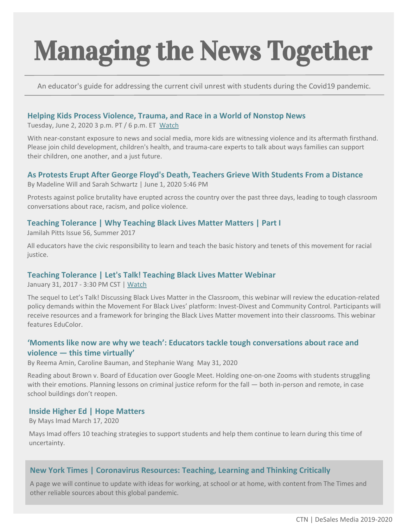# Managing the News Together

An educator's guide for addressing the current civil unrest with students during the Covid19 pandemic.

#### **[Helping Kids Process Violence, Trauma, and Race in a World of Nonstop News](https://www.youtube.com/watch?v=dhjMyOqu2G8&j=7815235&sfmc_sub=191369987&l=2048712_HTML&u=147209157&mid=6409703&jb=2395&utm_source=CWCS_livestream_20200602&utm_medium=email)**

Tuesday, June 2, 2020 3 p.m. PT / 6 p.m. ET [Watch](https://www.youtube.com/watch?v=dhjMyOqu2G8&j=7815235&sfmc_sub=191369987&l=2048712_HTML&u=147209157&mid=6409703&jb=2395&utm_source=CWCS_livestream_20200602&utm_medium=email)

With near-constant exposure to news and social media, more kids are witnessing violence and its aftermath firsthand. Please join child development, children's health, and trauma-care experts to talk about ways families can support their children, one another, and a just future.

#### **[As Protests Erupt After George Floyd's Death, Teachers Grieve With Students From a Distance](http://blogs.edweek.org/teachers/teaching_now/2020/06/as_protests_erupt_after_george_floyds_death_teachers_grieve_with_students_from_a_distance.html?cmp=eml-enl-eu-news1&M=59586924&U=&UUID=c8c79071e43cfb733d3ed474333f45d2)**

By Madeline Will and Sarah Schwartz | June 1, 2020 5:46 PM

Protests against police brutality have erupted across the country over the past three days, leading to tough classroom conversations about race, racism, and police violence.

#### **[Teaching Tolerance | Why Teaching Black Lives Matter Matters | Part I](https://www.tolerance.org/magazine/summer-2017/why-teaching-black-lives-matter-matters-part-i)**

Jamilah Pitts Issue 56, Summer 2017

All educators have the civic responsibility to learn and teach the basic history and tenets of this movement for racial justice.

#### **[Teaching Tolerance | Let's Talk! Teaching Black Lives Matter Webinar](https://www.tolerance.org/professional-development/webinars/teaching-blm)**

January 31, 2017 - 3:30 PM CST | [Watch](https://event.on24.com/eventRegistration/EventLobbyServlet?target=reg20.jsp&partnerref=rss-events&eventid=1327843&sessionid=1&key=71656A4E5CD94975E4E961E4A8A9643F®Tag=&sourcepage=register)

The sequel to Let's Talk! Discussing Black Lives Matter in the Classroom, this webinar will review the education-related policy demands within the Movement For Black Lives' platform: Invest-Divest and Community Control. Participants will receive resources and a framework for bringing the Black Lives Matter movement into their classrooms. This webinar features EduColor.

#### **['Moments like now are why we teach': Educators tackle tough conversations about race and](https://www.chalkbeat.org/2020/5/31/21276371/educators-tackle-tough-conversations-about-race-and-violence-this-time-virtually)  [violence — this time virtually'](https://www.chalkbeat.org/2020/5/31/21276371/educators-tackle-tough-conversations-about-race-and-violence-this-time-virtually)**

By Reema Amin, Caroline Bauman, and Stephanie Wang May 31, 2020

Reading about Brown v. Board of Education over Google Meet. Holding one-on-one Zooms with students struggling with their emotions. Planning lessons on criminal justice reform for the fall — both in-person and remote, in case school buildings don't reopen.

#### **[Inside Higher Ed | Hope Matters](https://www.insidehighered.com/advice/2020/03/17/10-strategies-support-students-and-help-them-learn-during-coronavirus-crisis)**

By Mays Imad March 17, 2020

Mays Imad offers 10 teaching strategies to support students and help them continue to learn during this time of uncertainty.

#### **[New York Times | Coronavirus Resources: Teaching, Learning and Thinking Critically](https://www.nytimes.com/2020/03/11/learning/coronavirus-resources-teaching-learning-and-thinking-critically.html)**

A page we will continue to update with ideas for working, at school or at home, with content from The Times and other reliable sources about this global pandemic.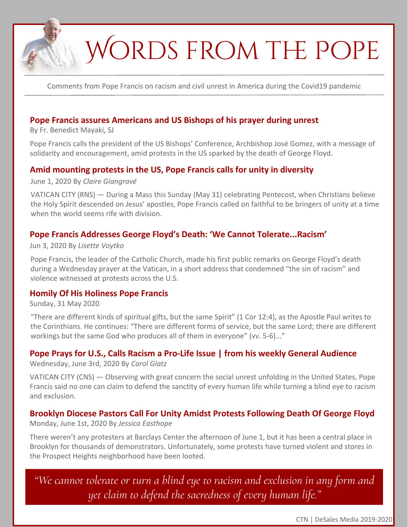## WORDS FROM THE POPE

Comments from Pope Francis on racism and civil unrest in America during the Covid19 pandemic

#### **[Pope Francis assures Americans and US Bishops of his prayer during unrest](https://www.vaticannews.va/en/pope/news/2020-06/pope-francis-calls-archbishop-gomez-usa-solidarity-amid-protests.html)**

By Fr. Benedict Mayaki, SJ

Pope Francis calls the president of the US Bishops' Conference, Archbishop José Gomez, with a message of solidarity and encouragement, amid protests in the US sparked by the death of George Floyd.

#### **[Amid mounting protests in the US, Pope Francis calls for unity in diversity](https://religionnews.com/2020/06/01/amid-mounting-protests-in-the-us-pope-francis-calls-for-unity-in-diversity/)**

June 1, 2020 By *[Claire Giangravé](https://religionnews.com/author/cgiangrave/)*

VATICAN CITY (RNS) — During a Mass this Sunday (May 31) celebrating Pentecost, when Christians believe the Holy Spirit descended on Jesus' apostles, Pope Francis called on faithful to be bringers of unity at a time when the world seems rife with division.

#### **[Pope Francis Addresses George Floyd's Death: 'We Cannot Tolerate...Racism'](https://www.forbes.com/sites/lisettevoytko/2020/06/03/pope-francis-addresses-george-floyds-death-we-cannot-tolerate-or-turn-a-blind-eye-to-racism/#539b1de86fd4)**

#### Jun 3, 2020 By *Lisette Voytko*

Pope Francis, the leader of the Catholic Church, made his first public remarks on George Floyd's death during a Wednesday prayer at the Vatican, in a short address that condemned "the sin of racism" and violence witnessed at protests across the U.S.

#### **[Homily Of His Holiness Pope Francis](http://www.vatican.va/content/francesco/en/homilies/2020/documents/papa-francesco_20200531_omelia-pentecoste.html)**

Sunday, 31 May 2020

"There are different kinds of spiritual gifts, but the same Spirit" (1 Cor 12:4), as the Apostle Paul writes to the Corinthians. He continues: "There are different forms of service, but the same Lord; there are different workings but the same God who produces all of them in everyone" (vv. 5-6)..."

#### **[Pope Prays for U.S., Calls Racism a Pro-Life Issue | from his weekly General Audience](https://thetablet.org/pope-prays-for-u-s-calls-racism-a-pro-life-issue/)**

Wednesday, June 3rd, 2020 By *Carol Glatz*

VATICAN CITY (CNS) — Observing with great concern the social unrest unfolding in the United States, Pope Francis said no one can claim to defend the sanctity of every human life while turning a blind eye to racism and exclusion.

### **[Brooklyn Diocese Pastors Call For Unity Amidst Protests Following Death Of George Floyd](https://netny.tv/episodes/currents/brooklyn-diocese-pastors-call-for-unity-amidst-protests-following-death-of-george-floyd/)**

Monday, June 1st, 2020 By *Jessica Easthope*

There weren't any protesters at Barclays Center the afternoon of June 1, but it has been a central place in Brooklyn for thousands of demonstrators. Unfortunately, some protests have turned violent and stores in the Prospect Heights neighborhood have been looted.

*"We cannot tolerate or turn a blind eye to racism and exclusion in any form and yet claim to defend the sacredness of every human life."* 

CTN | DeSales Media 2019-2020